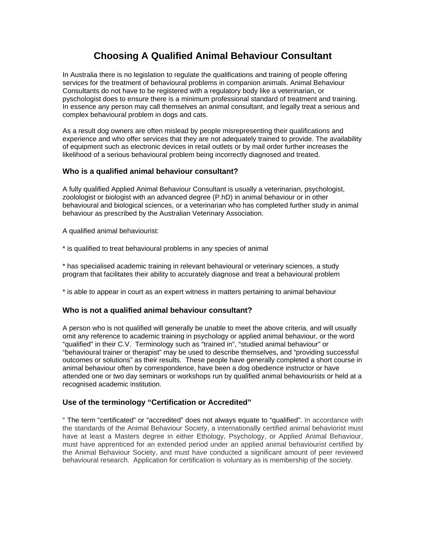# **Choosing A Qualified Animal Behaviour Consultant**

In Australia there is no legislation to regulate the qualifications and training of people offering services for the treatment of behavioural problems in companion animals. Animal Behaviour Consultants do not have to be registered with a regulatory body like a veterinarian, or pyschologist does to ensure there is a minimum professional standard of treatment and training. In essence any person may call themselves an animal consultant, and legally treat a serious and complex behavioural problem in dogs and cats.

As a result dog owners are often mislead by people misrepresenting their qualifications and experience and who offer services that they are not adequately trained to provide. The availability of equipment such as electronic devices in retail outlets or by mail order further increases the likelihood of a serious behavioural problem being incorrectly diagnosed and treated.

### **Who is a qualified animal behaviour consultant?**

A fully qualified Applied Animal Behaviour Consultant is usually a veterinarian, psychologist, zoolologist or biologist with an advanced degree (P.hD) in animal behaviour or in other behavioural and biological sciences, or a veterinarian who has completed further study in animal behaviour as prescribed by the Australian Veterinary Association.

A qualified animal behaviourist:

\* is qualified to treat behavioural problems in any species of animal

\* has specialised academic training in relevant behavioural or veterinary sciences, a study program that facilitates their ability to accurately diagnose and treat a behavioural problem

\* is able to appear in court as an expert witness in matters pertaining to animal behaviour

#### **Who is not a qualified animal behaviour consultant?**

A person who is not qualified will generally be unable to meet the above criteria, and will usually omit any reference to academic training in psychology or applied animal behaviour, or the word "qualified" in their C.V. Terminology such as "trained in", "studied animal behaviour" or "behavioural trainer or therapist" may be used to describe themselves, and "providing successful outcomes or solutions" as their results. These people have generally completed a short course in animal behaviour often by correspondence, have been a dog obedience instructor or have attended one or two day seminars or workshops run by qualified animal behaviourists or held at a recognised academic institution.

#### **Use of the terminology "Certification or Accredited"**

" The term "certificated" or "accredited" does not always equate to "qualified". In accordance with the standards of the Animal Behaviour Society, a internationally certified animal behaviorist must have at least a Masters degree in either Ethology, Psychology, or Applied Animal Behaviour, must have apprenticed for an extended period under an applied animal behaviourist certified by the Animal Behaviour Society, and must have conducted a significant amount of peer reviewed behavioural research. Application for certification is voluntary as is membership of the society.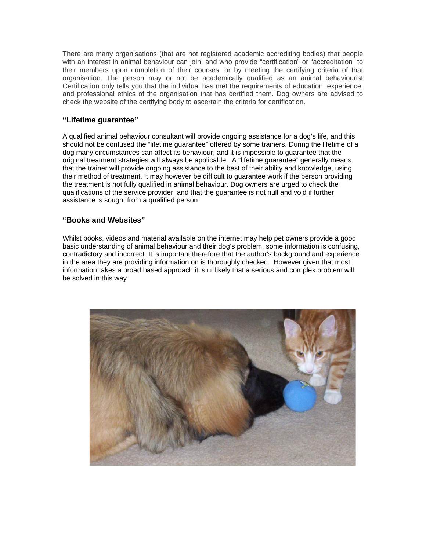There are many organisations (that are not registered academic accrediting bodies) that people with an interest in animal behaviour can join, and who provide "certification" or "accreditation" to their members upon completion of their courses, or by meeting the certifying criteria of that organisation. The person may or not be academically qualified as an animal behaviourist Certification only tells you that the individual has met the requirements of education, experience, and professional ethics of the organisation that has certified them. Dog owners are advised to check the website of the certifying body to ascertain the criteria for certification.

#### **"Lifetime guarantee"**

A qualified animal behaviour consultant will provide ongoing assistance for a dog's life, and this should not be confused the "lifetime guarantee" offered by some trainers. During the lifetime of a dog many circumstances can affect its behaviour, and it is impossible to guarantee that the original treatment strategies will always be applicable. A "lifetime guarantee" generally means that the trainer will provide ongoing assistance to the best of their ability and knowledge, using their method of treatment. It may however be difficult to guarantee work if the person providing the treatment is not fully qualified in animal behaviour. Dog owners are urged to check the qualifications of the service provider, and that the guarantee is not null and void if further assistance is sought from a qualified person.

#### **"Books and Websites"**

Whilst books, videos and material available on the internet may help pet owners provide a good basic understanding of animal behaviour and their dog's problem, some information is confusing, contradictory and incorrect. It is important therefore that the author's background and experience in the area they are providing information on is thoroughly checked. However given that most information takes a broad based approach it is unlikely that a serious and complex problem will be solved in this way